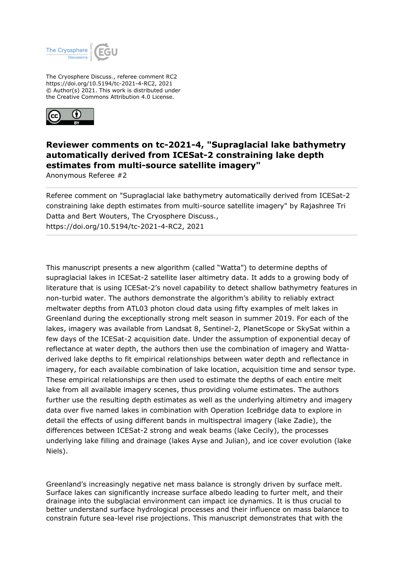

The Cryosphere Discuss., referee comment RC2 https://doi.org/10.5194/tc-2021-4-RC2, 2021 © Author(s) 2021. This work is distributed under the Creative Commons Attribution 4.0 License.



# **Reviewer comments on tc-2021-4, "Supraglacial lake bathymetry automatically derived from ICESat-2 constraining lake depth estimates from multi-source satellite imagery"**

Anonymous Referee #2

Referee comment on "Supraglacial lake bathymetry automatically derived from ICESat-2 constraining lake depth estimates from multi-source satellite imagery" by Rajashree Tri Datta and Bert Wouters, The Cryosphere Discuss., https://doi.org/10.5194/tc-2021-4-RC2, 2021

This manuscript presents a new algorithm (called "Watta") to determine depths of supraglacial lakes in ICESat-2 satellite laser altimetry data. It adds to a growing body of literature that is using ICESat-2's novel capability to detect shallow bathymetry features in non-turbid water. The authors demonstrate the algorithm's ability to reliably extract meltwater depths from ATL03 photon cloud data using fifty examples of melt lakes in Greenland during the exceptionally strong melt season in summer 2019. For each of the lakes, imagery was available from Landsat 8, Sentinel-2, PlanetScope or SkySat within a few days of the ICESat-2 acquisition date. Under the assumption of exponential decay of reflectance at water depth, the authors then use the combination of imagery and Wattaderived lake depths to fit empirical relationships between water depth and reflectance in imagery, for each available combination of lake location, acquisition time and sensor type. These empirical relationships are then used to estimate the depths of each entire melt lake from all available imagery scenes, thus providing volume estimates. The authors further use the resulting depth estimates as well as the underlying altimetry and imagery data over five named lakes in combination with Operation IceBridge data to explore in detail the effects of using different bands in multispectral imagery (lake Zadie), the differences between ICESat-2 strong and weak beams (lake Cecily), the processes underlying lake filling and drainage (lakes Ayse and Julian), and ice cover evolution (lake Niels).

Greenland's increasingly negative net mass balance is strongly driven by surface melt. Surface lakes can significantly increase surface albedo leading to furter melt, and their drainage into the subglacial environment can impact ice dynamics. It is thus crucial to better understand surface hydrological processes and their influence on mass balance to constrain future sea-level rise projections. This manuscript demonstrates that with the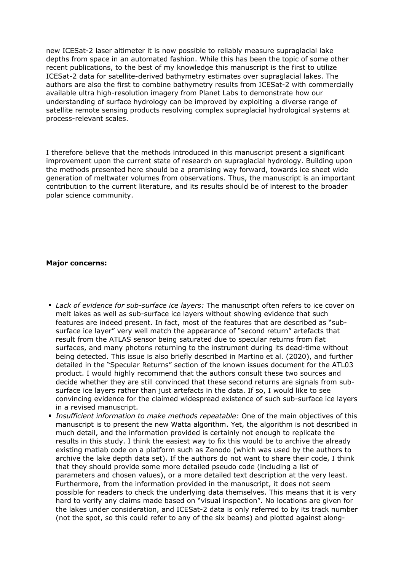new ICESat-2 laser altimeter it is now possible to reliably measure supraglacial lake depths from space in an automated fashion. While this has been the topic of some other recent publications, to the best of my knowledge this manuscript is the first to utilize ICESat-2 data for satellite-derived bathymetry estimates over supraglacial lakes. The authors are also the first to combine bathymetry results from ICESat-2 with commercially available ultra high-resolution imagery from Planet Labs to demonstrate how our understanding of surface hydrology can be improved by exploiting a diverse range of satellite remote sensing products resolving complex supraglacial hydrological systems at process-relevant scales.

I therefore believe that the methods introduced in this manuscript present a significant improvement upon the current state of research on supraglacial hydrology. Building upon the methods presented here should be a promising way forward, towards ice sheet wide generation of meltwater volumes from observations. Thus, the manuscript is an important contribution to the current literature, and its results should be of interest to the broader polar science community.

#### **Major concerns:**

- *Lack of evidence for sub-surface ice layers:* The manuscript often refers to ice cover on melt lakes as well as sub-surface ice layers without showing evidence that such features are indeed present. In fact, most of the features that are described as "subsurface ice layer" very well match the appearance of "second return" artefacts that result from the ATLAS sensor being saturated due to specular returns from flat surfaces, and many photons returning to the instrument during its dead-time without being detected. This issue is also briefly described in Martino et al. (2020), and further detailed in the "Specular Returns" section of the known issues document for the ATL03 product. I would highly recommend that the authors consult these two sources and decide whether they are still convinced that these second returns are signals from subsurface ice layers rather than just artefacts in the data. If so, I would like to see convincing evidence for the claimed widespread existence of such sub-surface ice layers in a revised manuscript.
- *Insufficient information to make methods repeatable:* One of the main objectives of this manuscript is to present the new Watta algorithm. Yet, the algorithm is not described in much detail, and the information provided is certainly not enough to replicate the results in this study. I think the easiest way to fix this would be to archive the already existing matlab code on a platform such as Zenodo (which was used by the authors to archive the lake depth data set). If the authors do not want to share their code, I think that they should provide some more detailed pseudo code (including a list of parameters and chosen values), or a more detailed text description at the very least. Furthermore, from the information provided in the manuscript, it does not seem possible for readers to check the underlying data themselves. This means that it is very hard to verify any claims made based on "visual inspection". No locations are given for the lakes under consideration, and ICESat-2 data is only referred to by its track number (not the spot, so this could refer to any of the six beams) and plotted against along-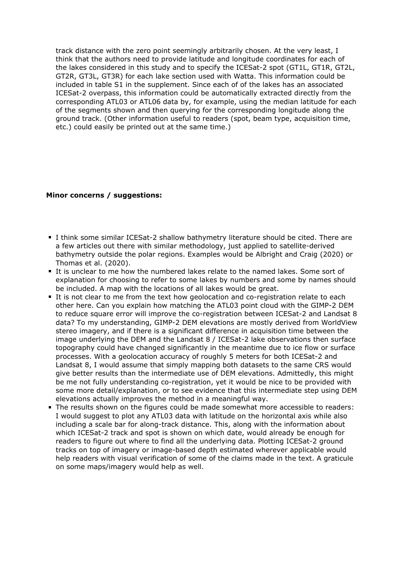track distance with the zero point seemingly arbitrarily chosen. At the very least, I think that the authors need to provide latitude and longitude coordinates for each of the lakes considered in this study and to specify the ICESat-2 spot (GT1L, GT1R, GT2L, GT2R, GT3L, GT3R) for each lake section used with Watta. This information could be included in table S1 in the supplement. Since each of of the lakes has an associated ICESat-2 overpass, this information could be automatically extracted directly from the corresponding ATL03 or ATL06 data by, for example, using the median latitude for each of the segments shown and then querying for the corresponding longitude along the ground track. (Other information useful to readers (spot, beam type, acquisition time, etc.) could easily be printed out at the same time.)

## **Minor concerns / suggestions:**

- I think some similar ICESat-2 shallow bathymetry literature should be cited. There are a few articles out there with similar methodology, just applied to satellite-derived bathymetry outside the polar regions. Examples would be Albright and Craig (2020) or Thomas et al. (2020).
- It is unclear to me how the numbered lakes relate to the named lakes. Some sort of explanation for choosing to refer to some lakes by numbers and some by names should be included. A map with the locations of all lakes would be great.
- It is not clear to me from the text how geolocation and co-registration relate to each other here. Can you explain how matching the ATL03 point cloud with the GIMP-2 DEM to reduce square error will improve the co-registration between ICESat-2 and Landsat 8 data? To my understanding, GIMP-2 DEM elevations are mostly derived from WorldView stereo imagery, and if there is a significant difference in acquisition time between the image underlying the DEM and the Landsat 8 / ICESat-2 lake observations then surface topography could have changed significantly in the meantime due to ice flow or surface processes. With a geolocation accuracy of roughly 5 meters for both ICESat-2 and Landsat 8, I would assume that simply mapping both datasets to the same CRS would give better results than the intermediate use of DEM elevations. Admittedly, this might be me not fully understanding co-registration, yet it would be nice to be provided with some more detail/explanation, or to see evidence that this intermediate step using DEM elevations actually improves the method in a meaningful way.
- The results shown on the figures could be made somewhat more accessible to readers: I would suggest to plot any ATL03 data with latitude on the horizontal axis while also including a scale bar for along-track distance. This, along with the information about which ICESat-2 track and spot is shown on which date, would already be enough for readers to figure out where to find all the underlying data. Plotting ICESat-2 ground tracks on top of imagery or image-based depth estimated wherever applicable would help readers with visual verification of some of the claims made in the text. A graticule on some maps/imagery would help as well.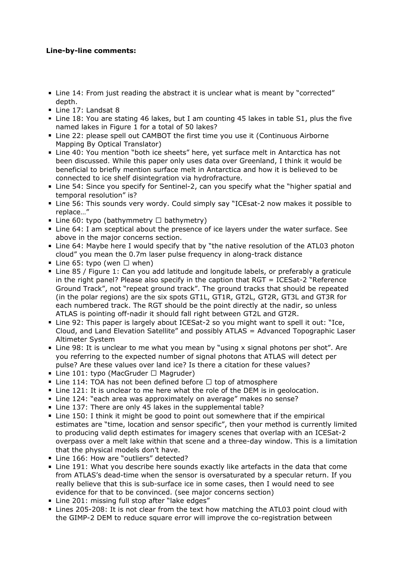## **Line-by-line comments:**

- Line 14: From just reading the abstract it is unclear what is meant by "corrected" depth.
- Line 17: Landsat 8
- Line 18: You are stating 46 lakes, but I am counting 45 lakes in table S1, plus the five named lakes in Figure 1 for a total of 50 lakes?
- Line 22: please spell out CAMBOT the first time you use it (Continuous Airborne Mapping By Optical Translator)
- Line 40: You mention "both ice sheets" here, yet surface melt in Antarctica has not been discussed. While this paper only uses data over Greenland, I think it would be beneficial to briefly mention surface melt in Antarctica and how it is believed to be connected to ice shelf disintegration via hydrofracture.
- Line 54: Since you specify for Sentinel-2, can you specify what the "higher spatial and temporal resolution" is?
- Line 56: This sounds very wordy. Could simply say "ICEsat-2 now makes it possible to replace…"
- Line 60: typo (bathymmetry  $\Box$  bathymetry)
- Line 64: I am sceptical about the presence of ice layers under the water surface. See above in the major concerns section.
- **EXA** Line 64: Maybe here I would specify that by "the native resolution of the ATL03 photon cloud" you mean the 0.7m laser pulse frequency in along-track distance
- Line 65: typo (wen  $\Box$  when)
- Line 85 / Figure 1: Can you add latitude and longitude labels, or preferably a graticule in the right panel? Please also specify in the caption that  $RGT = ICESat-2$  "Reference Ground Track", not "repeat ground track". The ground tracks that should be repeated (in the polar regions) are the six spots GT1L, GT1R, GT2L, GT2R, GT3L and GT3R for each numbered track. The RGT should be the point directly at the nadir, so unless ATLAS is pointing off-nadir it should fall right between GT2L and GT2R.
- Line 92: This paper is largely about ICESat-2 so you might want to spell it out: "Ice, Cloud, and Land Elevation Satellite" and possibly ATLAS = Advanced Topographic Laser Altimeter System
- Line 98: It is unclear to me what you mean by "using x signal photons per shot". Are you referring to the expected number of signal photons that ATLAS will detect per pulse? Are these values over land ice? Is there a citation for these values?
- Line 101: typo (MacGruder  $\Box$  Magruder)
- Line 114: TOA has not been defined before  $\Box$  top of atmosphere
- Line 121: It is unclear to me here what the role of the DEM is in geolocation.
- Line 124: "each area was approximately on average" makes no sense?
- Line 137: There are only 45 lakes in the supplemental table?
- Line 150: I think it might be good to point out somewhere that if the empirical estimates are "time, location and sensor specific", then your method is currently limited to producing valid depth estimates for imagery scenes that overlap with an ICESat-2 overpass over a melt lake within that scene and a three-day window. This is a limitation that the physical models don't have.
- Line 166: How are "outliers" detected?
- Line 191: What you describe here sounds exactly like artefacts in the data that come from ATLAS's dead-time when the sensor is oversaturated by a specular return. If you really believe that this is sub-surface ice in some cases, then I would need to see evidence for that to be convinced. (see major concerns section)
- Line 201: missing full stop after "lake edges"
- Lines 205-208: It is not clear from the text how matching the ATL03 point cloud with the GIMP-2 DEM to reduce square error will improve the co-registration between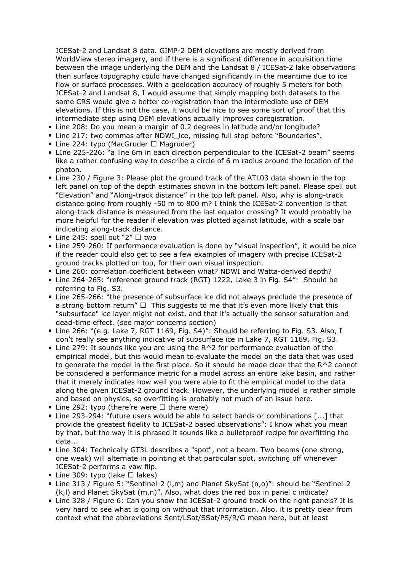ICESat-2 and Landsat 8 data. GIMP-2 DEM elevations are mostly derived from WorldView stereo imagery, and if there is a significant difference in acquisition time between the image underlying the DEM and the Landsat 8 / ICESat-2 lake observations then surface topography could have changed significantly in the meantime due to ice flow or surface processes. With a geolocation accuracy of roughly 5 meters for both ICESat-2 and Landsat 8, I would assume that simply mapping both datasets to the same CRS would give a better co-registration than the intermediate use of DEM elevations. If this is not the case, it would be nice to see some sort of proof that this intermediate step using DEM elevations actually improves coregistration.

- Line 208: Do you mean a margin of 0.2 degrees in latitude and/or longitude?
- Line 217: two commas after NDWI ice, missing full stop before "Boundaries".
- Line 224: typo (MacGruder  $\Box$  Magruder)
- LIne 225-226: "a line 6m in each direction perpendicular to the ICESat-2 beam" seems like a rather confusing way to describe a circle of 6 m radius around the location of the photon.
- Line 230 / Figure 3: Please plot the ground track of the ATL03 data shown in the top left panel on top of the depth estimates shown in the bottom left panel. Please spell out "Elevation" and "Along-track distance" in the top left panel. Also, why is along-track distance going from roughly -50 m to 800 m? I think the ICESat-2 convention is that along-track distance is measured from the last equator crossing? It would probably be more helpful for the reader if elevation was plotted against latitude, with a scale bar indicating along-track distance.
- Line 245: spell out "2"  $\Box$  two
- Line 259-260: If performance evaluation is done by "visual inspection", it would be nice if the reader could also get to see a few examples of imagery with precise ICESat-2 ground tracks plotted on top, for their own visual inspection.
- Line 260: correlation coefficient between what? NDWI and Watta-derived depth?
- Line 264-265: "reference ground track (RGT) 1222, Lake 3 in Fig. S4": Should be referring to Fig. S3.
- Line 265-266: "the presence of subsurface ice did not always preclude the presence of a strong bottom return"  $\Box$  This suggests to me that it's even more likely that this "subsurface" ice layer might not exist, and that it's actually the sensor saturation and dead-time effect. (see major concerns section)
- Line 266: "(e.g. Lake 7, RGT 1169, Fig. S4)": Should be referring to Fig. S3. Also, I don't really see anything indicative of subsurface ice in Lake 7, RGT 1169, Fig. S3.
- $\blacksquare$  Line 279: It sounds like you are using the R^2 for performance evaluation of the empirical model, but this would mean to evaluate the model on the data that was used to generate the model in the first place. So it should be made clear that the R^2 cannot be considered a performance metric for a model across an entire lake basin, and rather that it merely indicates how well you were able to fit the empirical model to the data along the given ICESat-2 ground track. However, the underlying model is rather simple and based on physics, so overfitting is probably not much of an issue here.
- Line 292: typo (there're were  $□$  there were)
- Line 293-294: "future users would be able to select bands or combinations [...] that provide the greatest fidelity to ICESat-2 based observations": I know what you mean by that, but the way it is phrased it sounds like a bulletproof recipe for overfitting the data...
- Line 304: Technically GT3L describes a "spot", not a beam. Two beams (one strong, one weak) will alternate in pointing at that particular spot, switching off whenever ICESat-2 performs a yaw flip.
- Line 309: typo (lake  $\Box$  lakes)
- Line 313 / Figure 5: "Sentinel-2 (l,m) and Planet SkySat (n,o)": should be "Sentinel-2 (k,l) and Planet SkySat (m,n)". Also, what does the red box in panel c indicate?
- Line 328 / Figure 6: Can you show the ICESat-2 ground track on the right panels? It is very hard to see what is going on without that information. Also, it is pretty clear from context what the abbreviations Sent/LSat/SSat/PS/R/G mean here, but at least